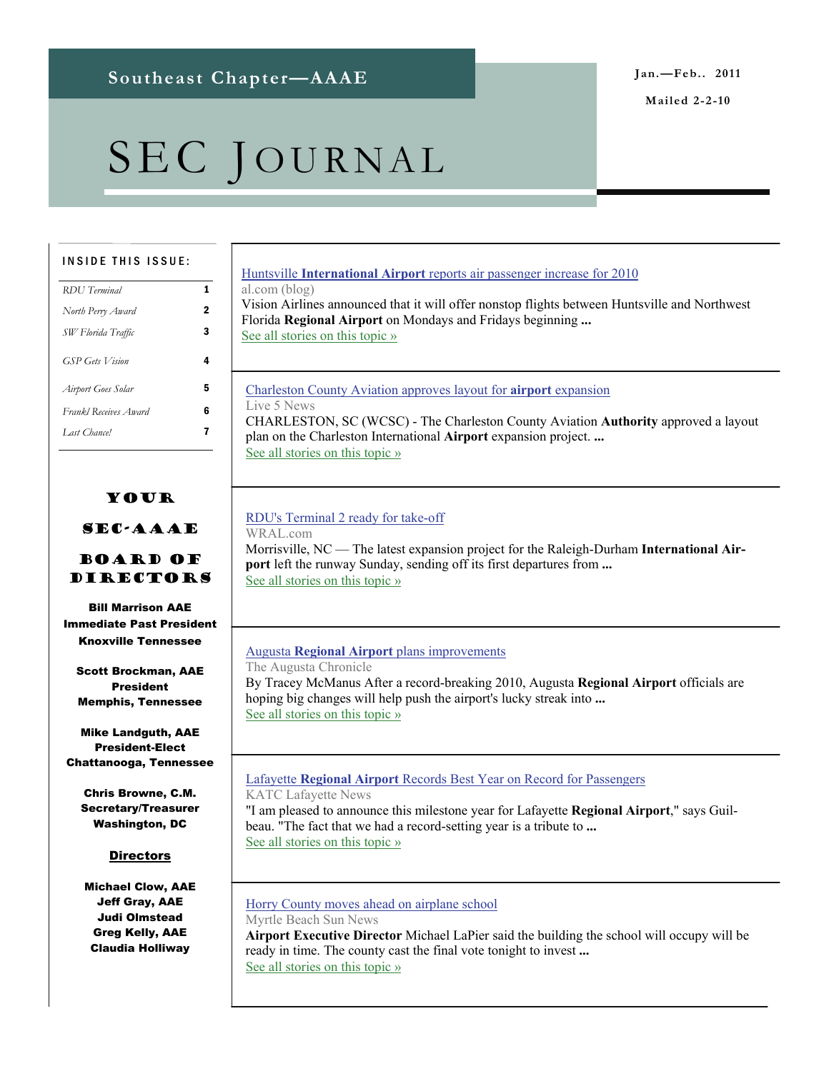**Mailed 2-2-10** 

# SEC JOURNAL

#### INSIDE THIS ISSUE:

 $\ddot{\phantom{a}}$ 

| <b>RDU</b> Terminal    |   |
|------------------------|---|
| North Perry Award      | 2 |
| SW Florida Traffic     | 3 |
| <b>GSP</b> Gets Vision | 4 |
| Airport Goes Solar     | 5 |
| Frankl Receives Award  | 6 |
| Last Chance!           |   |
|                        |   |

### Your

#### SEC-AAAE

### Board of Directors

Bill Marrison AAE Immediate Past President Knoxville Tennessee

Scott Brockman, AAE President Memphis, Tennessee

Mike Landguth, AAE President-Elect Chattanooga, Tennessee

Chris Browne, C.M. Secretary/Treasurer Washington, DC

#### **Directors**

Michael Clow, AAE Jeff Gray, AAE Judi Olmstead Greg Kelly, AAE Claudia Holliway

| Huntsville International Airport reports air passenger increase for 2010<br>al.com (blog)<br>Vision Airlines announced that it will offer nonstop flights between Huntsville and Northwest<br>Florida Regional Airport on Mondays and Fridays beginning<br>See all stories on this topic »               |
|----------------------------------------------------------------------------------------------------------------------------------------------------------------------------------------------------------------------------------------------------------------------------------------------------------|
| Charleston County Aviation approves layout for <b>airport</b> expansion<br>Live 5 News<br>CHARLESTON, SC (WCSC) - The Charleston County Aviation Authority approved a layout<br>plan on the Charleston International Airport expansion project.<br>See all stories on this topic »                       |
| RDU's Terminal 2 ready for take-off<br>WRAL.com<br>Morrisville, NC - The latest expansion project for the Raleigh-Durham International Air-<br>port left the runway Sunday, sending off its first departures from<br>See all stories on this topic »                                                     |
| <b>Augusta Regional Airport plans improvements</b><br>The Augusta Chronicle<br>By Tracey McManus After a record-breaking 2010, Augusta Regional Airport officials are<br>hoping big changes will help push the airport's lucky streak into<br>See all stories on this topic »                            |
| Lafayette Regional Airport Records Best Year on Record for Passengers<br><b>KATC</b> Lafayette News<br>"I am pleased to announce this milestone year for Lafayette Regional Airport," says Guil-<br>beau. "The fact that we had a record-setting year is a tribute to<br>See all stories on this topic » |
| Horry County moves ahead on airplane school<br>Myrtle Beach Sun News                                                                                                                                                                                                                                     |

**Airport Executive Director** Michael LaPier said the building the school will occupy will be ready in time. The county cast the final vote tonight to invest **...** [See all stories on this topic »](http://www.google.com/url?sa=X&q=http://news.google.com/news/story%3Fncl%3Dhttp://www.thesunnews.com/2011/01/19/1929237/horry-moves-ahead-on-airplane.html%26hl%3Den%26geo%3Dus&ct=ga&cad=CAEQAhgAIAAoBjADOANAy6rc6QRIAVAAWABiAmVu&cd=VMvbZ9dCzk8&usg=AFQjCNE9rmN19b3ep2mJPP87lLHSnfDhMQ)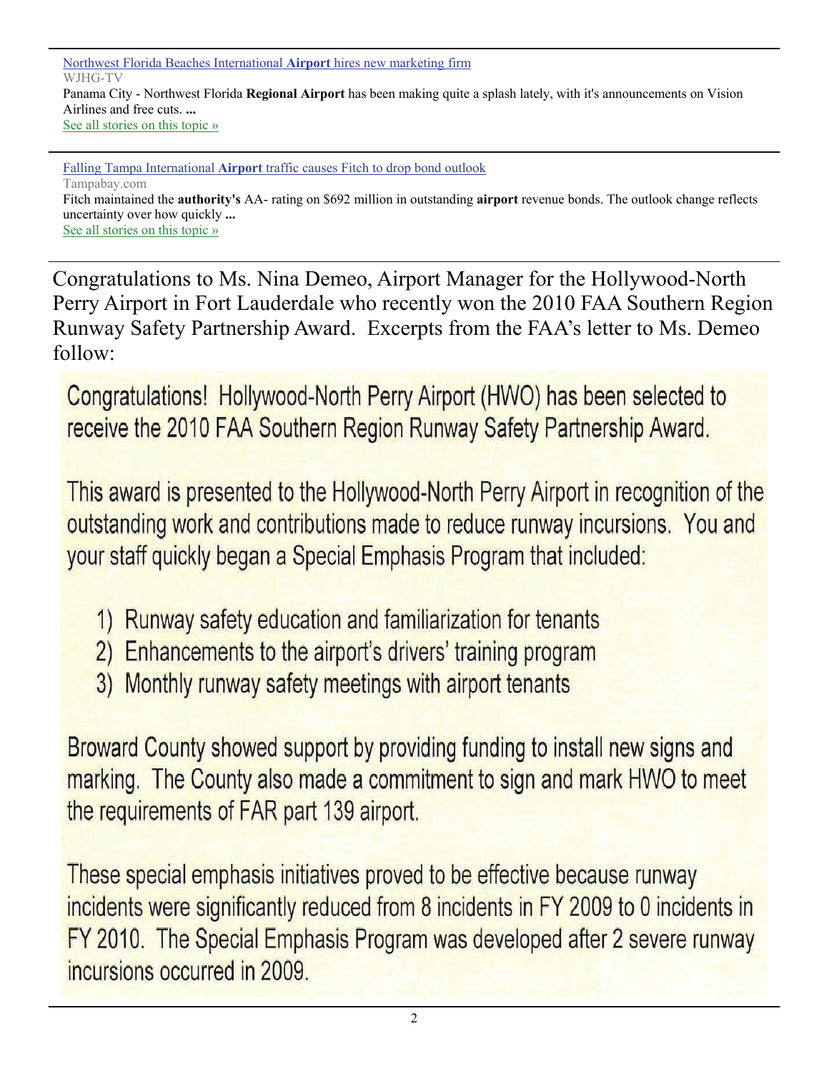[Northwest Florida Beaches International](http://www.google.com/url?sa=X&q=http://www.wjhg.com/news/headlines/Northwest_Florida_Beaches_International_Airport_hires_new_marketing_firm_114608189.html&ct=ga&cad=CAEQARgAIAAoATAAOABA4-L96QRIAVAAWABiAmVu&cd=fDLVXmw_r94&usg=AFQjCNEkQHFov_bnXPjcMur3WpxJphR4GA) **Airport** hires new marketing firm WJHG-TV Panama City - Northwest Florida **Regional Airport** has been making quite a splash lately, with it's announcements on Vision Airlines and free cuts. **...** [See all stories on this topic »](http://www.google.com/url?sa=X&q=http://news.google.com/news/story%3Fncl%3Dhttp://www.wjhg.com/news/headlines/Northwest_Florida_Beaches_International_Airport_hires_new_marketing_firm_114608189.html%26hl%3Den%26geo%3Dus&ct=ga&cad=CAEQARgAIAAoBjAAOABA4-L96QRIAVAAWABiAmVu&cd=fDLVXmw_r94&usg=AFQjCNGceDs3HEiwFTwFd8uzBdFJkxgJpg)

Falling Tampa International **Airport** [traffic causes Fitch to drop bond outlook](http://www.google.com/url?sa=X&q=http://www.tampabay.com/news/business/airlines/falling-tampa-international-airport-traffic-causes-fitch-to-drop-bond/1147721&ct=ga&cad=CAEQARgAIAAoATAAOABAo8qB6gRIAVAAWABiAmVu&cd=Q1Ztvgx1P_E&usg=AFQjCNEhSq4AYWfH2KkUQV-_wQ3biH6K1Q) Tampabay.com Fitch maintained the **authority's** AA- rating on \$692 million in outstanding **airport** revenue bonds. The outlook change reflects uncertainty over how quickly **...** [See all stories on this topic »](http://www.google.com/url?sa=X&q=http://news.google.com/news/story%3Fncl%3Dhttp://www.tampabay.com/news/business/airlines/falling-tampa-international-airport-traffic-causes-fitch-to-drop-bond/1147721%26hl%3Den%26geo%3Dus&ct=ga&cad=CAEQARgAIAAoBjAAOABAo8qB6gRIAVAAWABiAmVu&cd=Q1Ztvgx1P_E&usg=AFQjCNF-vIki6kfIjSTXXKi1dYKVLBVXKQ)

Congratulations to Ms. Nina Demeo, Airport Manager for the Hollywood-North Perry Airport in Fort Lauderdale who recently won the 2010 FAA Southern Region Runway Safety Partnership Award. Excerpts from the FAA's letter to Ms. Demeo follow:

Congratulations! Hollywood-North Perry Airport (HWO) has been selected to receive the 2010 FAA Southern Region Runway Safety Partnership Award.

This award is presented to the Hollywood-North Perry Airport in recognition of the outstanding work and contributions made to reduce runway incursions. You and your staff quickly began a Special Emphasis Program that included:

- 1) Runway safety education and familiarization for tenants
- 2) Enhancements to the airport's drivers' training program
- 3) Monthly runway safety meetings with airport tenants

Broward County showed support by providing funding to install new signs and marking. The County also made a commitment to sign and mark HWO to meet the requirements of FAR part 139 airport.

These special emphasis initiatives proved to be effective because runway incidents were significantly reduced from 8 incidents in FY 2009 to 0 incidents in FY 2010. The Special Emphasis Program was developed after 2 severe runway incursions occurred in 2009.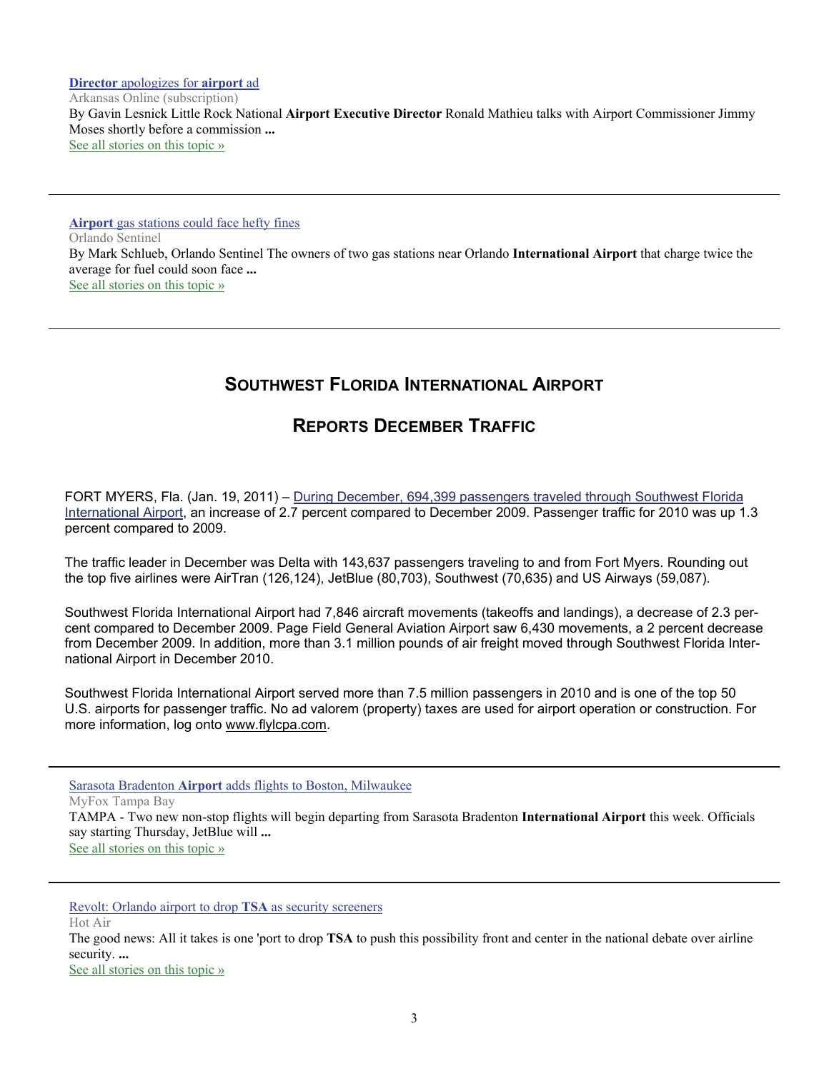**Director** [apologizes for](http://www.google.com/url?sa=X&q=http://www.arkansasonline.com/news/2010/nov/16/director-apologizes-airport-ad/&ct=ga&cad=CAEQAhgAIAAoATAAOABA2OqK5wRIAVCSAVgAYgJlbg&cd=UtiT2f8wNAM&usg=AFQjCNEwAOdNvLC75V68SJVR3KNXltT1uA) **airport** ad Arkansas Online (subscription) By Gavin Lesnick Little Rock National **Airport Executive Director** Ronald Mathieu talks with Airport Commissioner Jimmy Moses shortly before a commission **...** [See all stories on this topic »](http://www.google.com/url?sa=X&q=http://news.google.com/news/story%3Fncl%3Dhttp://www.arkansasonline.com/news/2010/nov/16/director-apologizes-airport-ad/%26hl%3Den%26geo%3Dus&ct=ga&cad=CAEQAhgAIAAoBjAAOABA2OqK5wRIAVCSAVgAYgJlbg&cd=UtiT2f8wNAM&usg=AFQjCNESlOikstrCO_LjiCtNh0paNHe5Hg)

**Airport** [gas stations could face hefty fines](http://www.google.com/url?sa=X&q=http://www.orlandosentinel.com/business/os-airport-gas-station-violation-20101115,0,7399997.story&ct=ga&cad=CAEQARgAIAAoATADOANAtPKG5wRIAVB-WABiAmVu&cd=9y1IfSpzy6Q&usg=AFQjCNEgtshpnNjSfTpig8dSKDax1-1pUA) Orlando Sentinel By Mark Schlueb, Orlando Sentinel The owners of two gas stations near Orlando **International Airport** that charge twice the average for fuel could soon face **...** [See all stories on this topic »](http://www.google.com/url?sa=X&q=http://news.google.com/news/story%3Fncl%3Dhttp://www.orlandosentinel.com/business/os-airport-gas-station-violation-20101115,0,7399997.story%26hl%3Den%26geo%3Dus&ct=ga&cad=CAEQARgAIAAoBjADOANAtPKG5wRIAVB-WABiAmVu&cd=9y1IfSpzy6Q&usg=AFQjCNEYe2EEACF6dIOKde3u6vCcjfSbOg)

### **SOUTHWEST FLORIDA INTERNATIONAL AIRPORT**

### **REPORTS DECEMBER TRAFFIC**

FORT MYERS, Fla. (Jan. 19, 2011) – During December, 694,399 passengers traveled through Southwest Florida International Airport, an increase of 2.7 percent compared to December 2009. Passenger traffic for 2010 was up 1.3 percent compared to 2009.

The traffic leader in December was Delta with 143,637 passengers traveling to and from Fort Myers. Rounding out the top five airlines were AirTran (126,124), JetBlue (80,703), Southwest (70,635) and US Airways (59,087).

Southwest Florida International Airport had 7,846 aircraft movements (takeoffs and landings), a decrease of 2.3 percent compared to December 2009. Page Field General Aviation Airport saw 6,430 movements, a 2 percent decrease from December 2009. In addition, more than 3.1 million pounds of air freight moved through Southwest Florida International Airport in December 2010.

Southwest Florida International Airport served more than 7.5 million passengers in 2010 and is one of the top 50 U.S. airports for passenger traffic. No ad valorem (property) taxes are used for airport operation or construction. For more information, log onto [www.flylcpa.com](http://www.flylcpa.com/).

Sarasota Bradenton **Airport** [adds flights to Boston, Milwaukee](http://www.google.com/url?sa=X&q=http://www.myfoxtampabay.com/dpp/news/local/sun_coast/sarasota-bradenton-airport-adds-flights-111710&ct=ga&cad=CAEQARgAIAAoATAFOAVA2MeQ5wRIAVB-WABiAmVu&cd=E3eS2FzzJks&usg=AFQjCNGcsfGgHdqCUG0wxozMkWFRLicEvQ) MyFox Tampa Bay TAMPA - Two new non-stop flights will begin departing from Sarasota Bradenton **International Airport** this week. Officials say starting Thursday, JetBlue will **...** [See all stories on this topic »](http://www.google.com/url?sa=X&q=http://news.google.com/news/story%3Fncl%3Dhttp://www.myfoxtampabay.com/dpp/news/local/sun_coast/sarasota-bradenton-airport-adds-flights-111710%26hl%3Den%26geo%3Dus&ct=ga&cad=CAEQARgAIAAoBjAFOAVA2MeQ5wRIAVB-WABiAmVu&cd=E3eS2FzzJks&usg=AFQjCNEdLJUYLoppNvejsiE4xIEqVW1Zdg)

[Revolt: Orlando airport to drop](http://www.google.com/url?sa=X&q=http://hotair.com/archives/2010/11/18/revolt-orlando-airport-to-drop-tsa-as-security-screeners/&ct=ga&cad=CAEQARgAIAAoATABOAFAzsaW5wRIAVCNAVgAYgJlbg&cd=flvTWKIxn14&usg=AFQjCNFpZCa2GlhbJIMk5W94t3RVKALmOQ) **TSA** as security screeners Hot Air The good news: All it takes is one 'port to drop **TSA** to push this possibility front and center in the national debate over airline security. **...**

[See all stories on this topic »](http://www.google.com/url?sa=X&q=http://news.google.com/news/story%3Fncl%3Dhttp://hotair.com/archives/2010/11/18/revolt-orlando-airport-to-drop-tsa-as-security-screeners/%26hl%3Den%26geo%3Dus&ct=ga&cad=CAEQARgAIAAoBjABOAFAzsaW5wRIAVCNAVgAYgJlbg&cd=flvTWKIxn14&usg=AFQjCNHcJr7BbJZyuPtN4RsdcRUQAewgyg)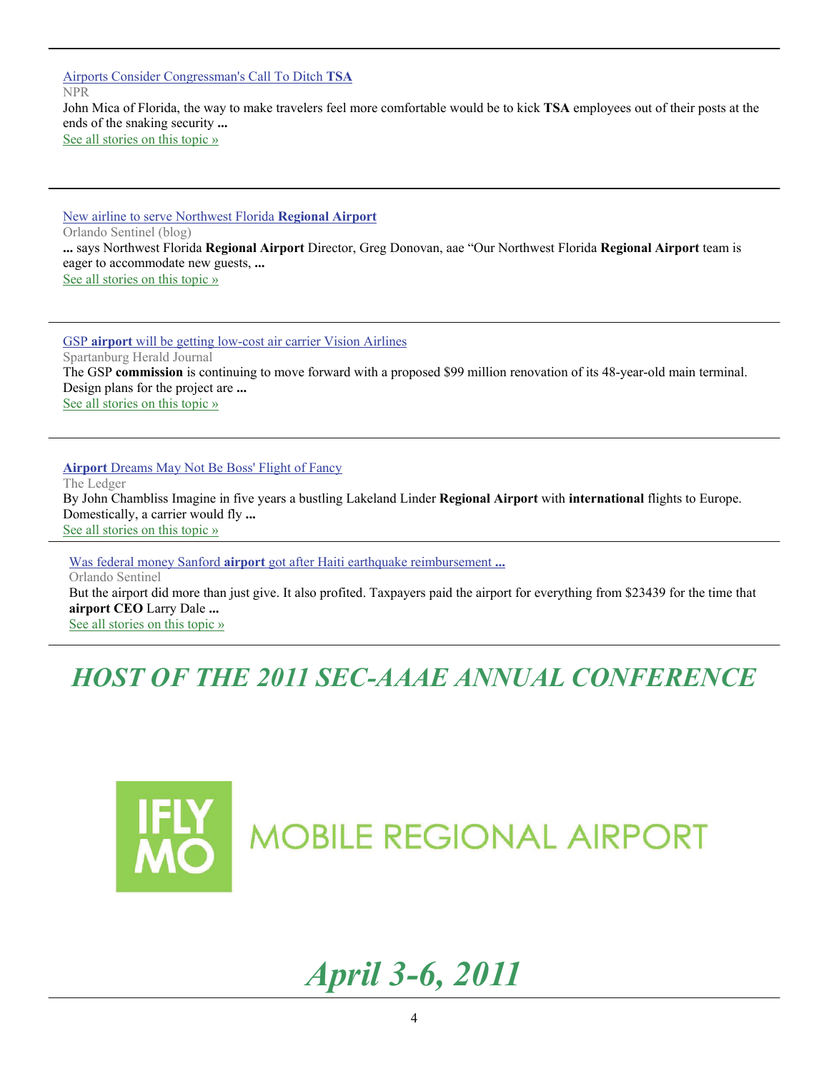[Airports Consider Congressman's Call To Ditch](http://www.google.com/url?sa=X&q=http://www.npr.org/templates/story/story.php%3FstoryId%3D131425210&ct=ga&cad=CAEQARgAIAAoATAAOABAzsaW5wRIAVCNAVgAYgJlbg&cd=flvTWKIxn14&usg=AFQjCNGOUMrYpY6XI1JFRWubWVahSiKnag) **TSA** NPR John Mica of Florida, the way to make travelers feel more comfortable would be to kick **TSA** employees out of their posts at the ends of the snaking security **...** [See all stories on this topic »](http://www.google.com/url?sa=X&q=http://news.google.com/news/story%3Fncl%3Dhttp://www.npr.org/templates/story/story.php%253FstoryId%253D131425210%26hl%3Den%26geo%3Dus&ct=ga&cad=CAEQARgAIAAoBjAAOABAzsaW5wRIAVCNAVgAYgJlbg&cd=flvTWKIxn14&usg=AFQjCNEnkoMnMg7F0ru3WaLkYSyd528umw)

[New airline to serve Northwest Florida](http://www.google.com/url?sa=X&q=http://blogs.orlandosentinel.com/travel-postcardsfromflorida/2011/01/18/new-airline-to-serve-northwest-florida-regional-airport/&ct=ga&cad=CAEQARgAIAAoATAAOABAksXY6QRIAVAAWABiAmVu&cd=QaiBZOfQiX0&usg=AFQjCNHgtlufUwatiDHoCFs7AmC2rg9X1A) **Regional Airport** Orlando Sentinel (blog) **...** says Northwest Florida **Regional Airport** Director, Greg Donovan, aae "Our Northwest Florida **Regional Airport** team is eager to accommodate new guests, **...** [See all stories on this topic »](http://www.google.com/url?sa=X&q=http://news.google.com/news/story%3Fncl%3Dhttp://blogs.orlandosentinel.com/travel-postcardsfromflorida/2011/01/18/new-airline-to-serve-northwest-florida-regional-airport/%26hl%3Den%26geo%3Dus&ct=ga&cad=CAEQARgAIAAoBjAAOABAksXY6QRIAVAAWABiAmVu&cd=QaiBZOfQiX0&usg=AFQjCNFhLibkpLrvxcfEROHXYI8K75AOwA)

GSP **airport** [will be getting low-cost air carrier Vision Airlines](http://www.google.com/url?sa=X&q=http://www.goupstate.com/article/20110117/ARTICLES/110119801/1027/opinion%3FTitle%3DGSP-airport-will-be-getting-low-cost-air-carrier-Vision-Airlines&ct=ga&cad=CAEQAhgAIAAoATAGOAZAtpLV6QRIAVAAWABiAmVu&cd=udrDLlwckLk&usg=AFQjCNGuXEiioU1Atp7RnHxHGke60v3z_A) Spartanburg Herald Journal The GSP **commission** is continuing to move forward with a proposed \$99 million renovation of its 48-year-old main terminal. Design plans for the project are **...** [See all stories on this topic »](http://www.google.com/url?sa=X&q=http://news.google.com/news/story%3Fncl%3Dhttp://www.goupstate.com/article/20110117/ARTICLES/110119801/1027/opinion%253FTitle%253DGSP-airport-will-be-getting-low-cost-air-carrier-Vision-Airlines%26hl%3Den%26geo%3Dus&ct=ga&cad=CAEQAhgAIAAoBjAGOAZAtpLV6QRIAVAAWABiAmVu&cd=udrDLlwckLk&usg=AFQjCNHEB2QWa_gqKjKjEiCmmoCZ0uVthA)

**Airport** [Dreams May Not Be Boss' Flight of Fancy](http://www.google.com/url?sa=X&q=http://www.theledger.com/article/20110109/NEWS/101095031/1001/business%3FTitle%3DAirport-Dreams-May-Not-Be-Boss-Flight-of-Fancy&ct=ga&cad=CAEQARgAIAAoATAAOABAnZOq6QRIAVAAWABiAmVu&cd=a61yyd7P4Fs&usg=AFQjCNGZDc1QHxZyDEJqNLPTO_xh3UJk2w) The Ledger By John Chambliss Imagine in five years a bustling Lakeland Linder **Regional Airport** with **international** flights to Europe. Domestically, a carrier would fly **...** [See all stories on this topic »](http://www.google.com/url?sa=X&q=http://news.google.com/news/story%3Fncl%3Dhttp://www.theledger.com/article/20110109/NEWS/101095031/1001/business%253FTitle%253DAirport-Dreams-May-Not-Be-Boss-Flight-of-Fancy%26hl%3Den%26geo%3Dus&ct=ga&cad=CAEQARgAIAAoBjAAOABAnZOq6QRIAVAAWABiAmVu&cd=a61yyd7P4Fs&usg=AFQjCNHrIdVmH9htnuTWHbKo1Ke9VnMxog)

Was federal money Sanford **airport** [got after Haiti earthquake reimbursement](http://www.google.com/url?sa=X&q=http://www.orlandosentinel.com/news/opinion/views/os-scott-maxwell-sanford-earthquake-020110108,0,6289020.column&ct=ga&cad=CAEQAhgAIAAoATAAOABA7sGk6QRIAVAAWABiAmVu&cd=yCltnoZUzME&usg=AFQjCNGUE_TelOomwVxNQwR5nKLLCAdpbg) **...** Orlando Sentinel But the airport did more than just give. It also profited. Taxpayers paid the airport for everything from \$23439 for the time that **airport CEO** Larry Dale **...** [See all stories on this topic »](http://www.google.com/url?sa=X&q=http://news.google.com/news/story%3Fncl%3Dhttp://www.orlandosentinel.com/news/opinion/views/os-scott-maxwell-sanford-earthquake-020110108,0,6289020.column%26hl%3Den%26geo%3Dus&ct=ga&cad=CAEQAhgAIAAoBjAAOABA7sGk6QRIAVAAWABiAmVu&cd=yCltnoZUzME&usg=AFQjCNEg44FkB8-9zqqtTbStdt0lUoE-kw)

*HOST OF THE 2011 SEC-AAAE ANNUAL CONFERENCE* 



**MOBILE REGIONAL AIRPORT** 

### *April 3-6, 2011*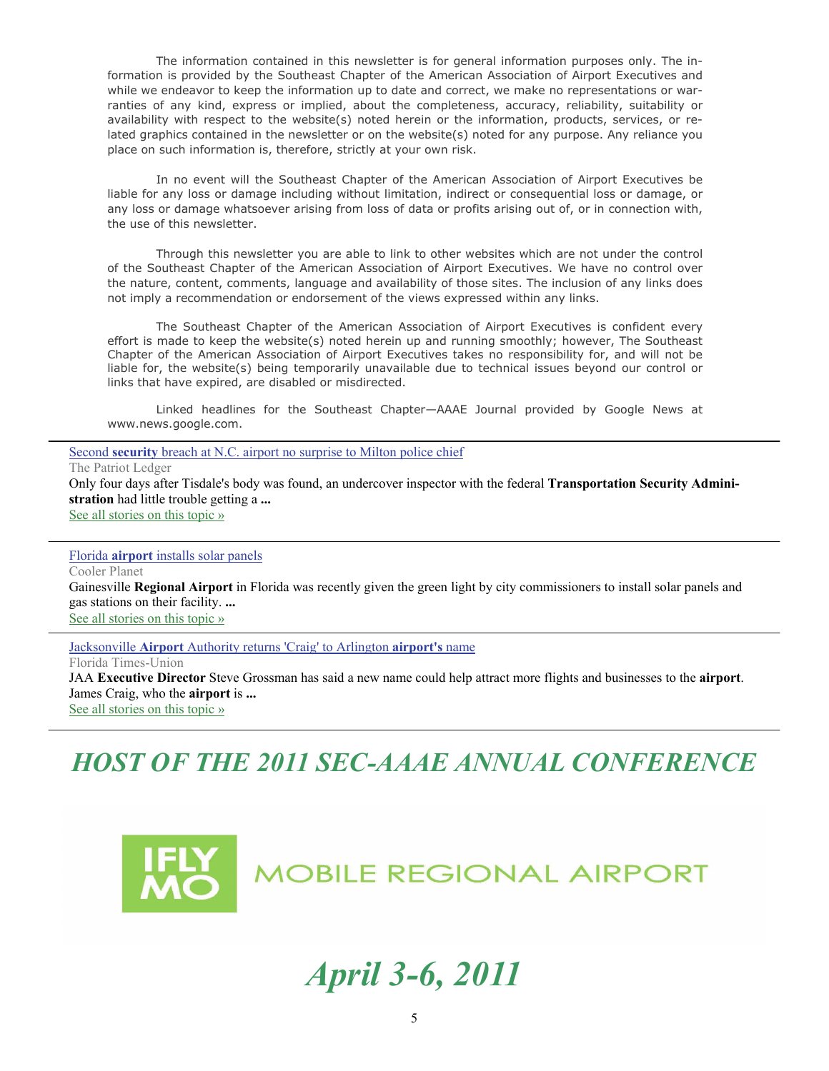The information contained in this newsletter is for general information purposes only. The information is provided by the Southeast Chapter of the American Association of Airport Executives and while we endeavor to keep the information up to date and correct, we make no representations or warranties of any kind, express or implied, about the completeness, accuracy, reliability, suitability or availability with respect to the website(s) noted herein or the information, products, services, or related graphics contained in the newsletter or on the website(s) noted for any purpose. Any reliance you place on such information is, therefore, strictly at your own risk.

 In no event will the Southeast Chapter of the American Association of Airport Executives be liable for any loss or damage including without limitation, indirect or consequential loss or damage, or any loss or damage whatsoever arising from loss of data or profits arising out of, or in connection with, the use of this newsletter.

 Through this newsletter you are able to link to other websites which are not under the control of the Southeast Chapter of the American Association of Airport Executives. We have no control over the nature, content, comments, language and availability of those sites. The inclusion of any links does not imply a recommendation or endorsement of the views expressed within any links.

 The Southeast Chapter of the American Association of Airport Executives is confident every effort is made to keep the website(s) noted herein up and running smoothly; however, The Southeast Chapter of the American Association of Airport Executives takes no responsibility for, and will not be liable for, the website(s) being temporarily unavailable due to technical issues beyond our control or links that have expired, are disabled or misdirected.

 Linked headlines for the Southeast Chapter—AAAE Journal provided by Google News at www.news.google.com.

Second **security** [breach at N.C. airport no surprise to Milton police chief](http://www.google.com/url?sa=X&q=http://www.patriotledger.com/topstories/x703882918/Second-security-breach-at-N-C-airport-no-surprise-to-Milton-police-chief&ct=ga&cad=CAEQARgAIAAoATAAOABA2fO66QRIAVAAWABiAmVu&cd=JIWFTx9O8_0&usg=AFQjCNHlGewirTxUeK-hg0HNIM_1EWa6CA)

The Patriot Ledger Only four days after Tisdale's body was found, an undercover inspector with the federal **Transportation Security Administration** had little trouble getting a **...** [See all stories on this topic »](http://www.google.com/url?sa=X&q=http://news.google.com/news/story%3Fncl%3Dhttp://www.patriotledger.com/topstories/x703882918/Second-security-breach-at-N-C-airport-no-surprise-to-Milton-police-chief%26hl%3Den%26geo%3Dus&ct=ga&cad=CAEQARgAIAAoBjAAOABA2fO66QRIAVAAWABiAmVu&cd=JIWFTx9O8_0&usg=AFQjCNHVrUT0MF37nXyha3CFC9qob61Shw)

Florida **airport** [installs solar panels](http://www.google.com/url?sa=X&q=http://solar.coolerplanet.com/News/800362763-florida-airport-installs-solar-panels.aspx&ct=ga&cad=CAEQARgAIAAoATAAOABA3uD76QRIAVAAWABiAmVu&cd=VXjuMsxsQ70&usg=AFQjCNGhDrowHywH0fy3MXx5uo3JHvsGhA) Cooler Planet Gainesville **Regional Airport** in Florida was recently given the green light by city commissioners to install solar panels and gas stations on their facility. **...** [See all stories on this topic »](http://www.google.com/url?sa=X&q=http://news.google.com/news/story%3Fncl%3Dhttp://solar.coolerplanet.com/News/800362763-florida-airport-installs-solar-panels.aspx%26hl%3Den%26geo%3Dus&ct=ga&cad=CAEQARgAIAAoBjAAOABA3uD76QRIAVAAWABiAmVu&cd=VXjuMsxsQ70&usg=AFQjCNH91yXzCGCYhZbCP6M1QctI77fCKA)

Jacksonville **Airport** [Authority returns 'Craig' to Arlington](http://www.google.com/url?sa=X&q=http://jacksonville.com/news/metro/2011-01-24/story/jacksonville-airport-authority-returns-craig-arlington-airports-name&ct=ga&cad=CAEQAhgAIAAoATAAOABAwvv76QRIAVAAWABiAmVu&cd=jRRx4MdGX90&usg=AFQjCNHH4LrY2PpQGZH-OD9JLQfSkrVtFg) **airport's** name

Florida Times-Union JAA **Executive Director** Steve Grossman has said a new name could help attract more flights and businesses to the **airport**. James Craig, who the **airport** is **...** [See all stories on this topic »](http://www.google.com/url?sa=X&q=http://news.google.com/news/story%3Fncl%3Dhttp://jacksonville.com/news/metro/2011-01-24/story/jacksonville-airport-authority-returns-craig-arlington-airports-name%26hl%3Den%26geo%3Dus&ct=ga&cad=CAEQAhgAIAAoBjAAOABAwvv76QRIAVAAWABiAmVu&cd=jRRx4MdGX90&usg=AFQjCNE4GjceqxQq4qmNOZ9nWDjcxMPQ5g)

### *HOST OF THE 2011 SEC-AAAE ANNUAL CONFERENCE*



MOBILE REGIONAL AIRPORT

## *April 3-6, 2011*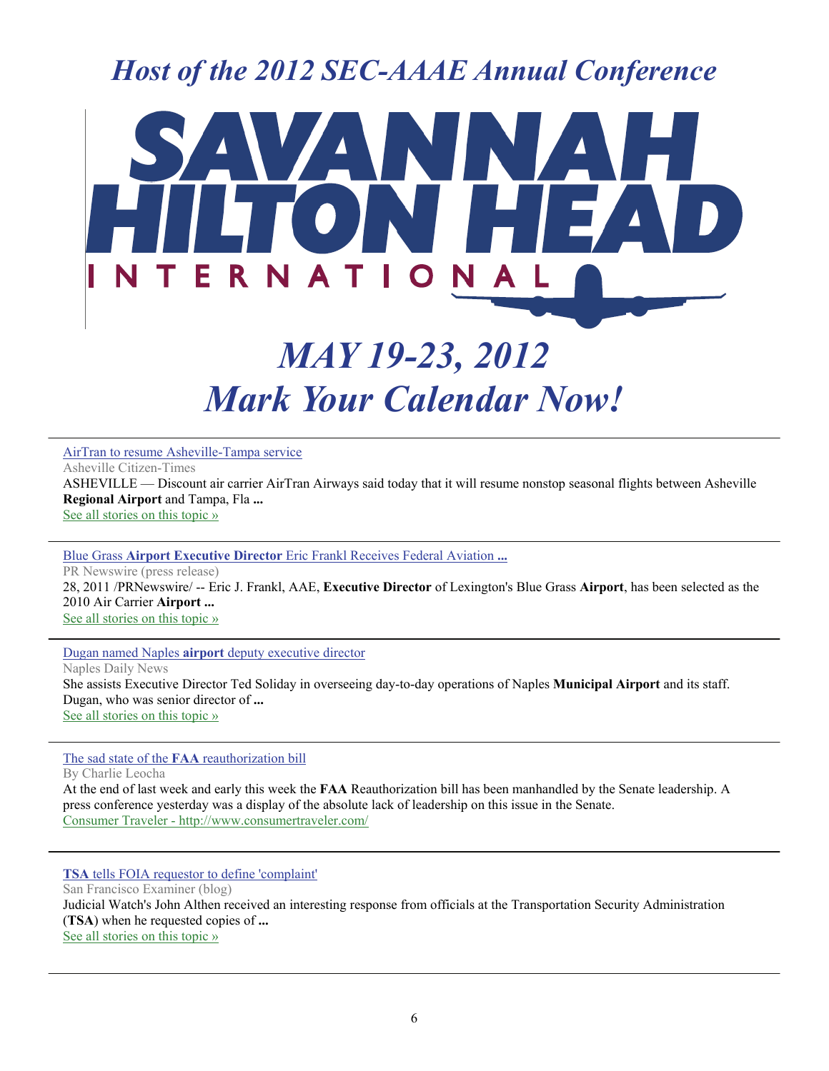### *Host of the 2012 SEC-AAAE Annual Conference*



# *MAY 19-23, 2012 Mark Your Calendar Now!*

#### [AirTran to resume Asheville-Tampa service](http://www.google.com/url?sa=X&q=http://www.citizen-times.com/article/20110126/NEWS01/110126050/1009&ct=ga&cad=CAEQARgAIAAoATAAOABA1OGC6gRIAVAAWABiAmVu&cd=rIgoje1WwdE&usg=AFQjCNF3Nk-BFBH-gpms3imKWJJd2Bz13Q)

Asheville Citizen-Times

ASHEVILLE — Discount air carrier AirTran Airways said today that it will resume nonstop seasonal flights between Asheville **Regional Airport** and Tampa, Fla **...** [See all stories on this topic »](http://www.google.com/url?sa=X&q=http://news.google.com/news/story%3Fncl%3Dhttp://www.citizen-times.com/article/20110126/NEWS01/110126050/1009%26hl%3Den%26geo%3Dus&ct=ga&cad=CAEQARgAIAAoBjAAOABA1OGC6gRIAVAAWABiAmVu&cd=rIgoje1WwdE&usg=AFQjCNEHe2e5qKUeuSTncfDxSk9szD9h5A)

Blue Grass **Airport Executive Director** [Eric Frankl Receives Federal Aviation](http://www.google.com/url?sa=X&q=http://www.prnewswire.com/news-releases/blue-grass-airport-executive-director-eric-frankl-receives-federal-aviation-administration-award-114798434.html&ct=ga&cad=CAEQAhgAIAAoATAAOABAguWL6gRIAVAAWABiAmVu&cd=ikax7_bc3mI&usg=AFQjCNF_Cx99lNhUYBZYCxs4f93XsdWrXw) **...**

PR Newswire (press release) 28, 2011 /PRNewswire/ -- Eric J. Frankl, AAE, **Executive Director** of Lexington's Blue Grass **Airport**, has been selected as the 2010 Air Carrier **Airport ...** [See all stories on this topic »](http://www.google.com/url?sa=X&q=http://news.google.com/news/story%3Fncl%3Dhttp://www.prnewswire.com/news-releases/blue-grass-airport-executive-director-eric-frankl-receives-federal-aviation-administration-award-114798434.html%26hl%3Den%26geo%3Dus&ct=ga&cad=CAEQAhgAIAAoBjAAOABAguWL6gRIAVAAWABiAmVu&cd=ikax7_bc3mI&usg=AFQjCNHRqYSaH7PLkGtSg03abGrvl5wRsw)

Dugan named Naples **airport** [deputy executive director](http://www.google.com/url?sa=X&q=http://www.naplesnews.com/news/2011/feb/02/dugan-named-naples-airport-deputy-executive-direct/&ct=ga&cad=CAEQARgAIAAoATAAOABAkKSm6gRIAVAAWABiAmVu&cd=j-h0VEnWfYQ&usg=AFQjCNETP62V-JLck8yjf7ElwS_vFKH-MQ)

Naples Daily News She assists Executive Director Ted Soliday in overseeing day-to-day operations of Naples **Municipal Airport** and its staff. Dugan, who was senior director of **...** [See all stories on this topic »](http://www.google.com/url?sa=X&q=http://news.google.com/news/story%3Fncl%3Dhttp://www.naplesnews.com/news/2011/feb/02/dugan-named-naples-airport-deputy-executive-direct/%26hl%3Den%26geo%3Dus&ct=ga&cad=CAEQARgAIAAoBjAAOABAkKSm6gRIAVAAWABiAmVu&cd=j-h0VEnWfYQ&usg=AFQjCNG_yglgYfW25UWKxHrWO61cDzmCTg)

[The sad state of the](http://www.google.com/url?sa=X&q=http://www.consumertraveler.com/today/the-sad-state-of-the-faa-reauthorization-bill/&ct=ga&cad=CAcQARgAIAIoATAAOABA68Sm6gRIAVAAWABiBWVuLVVT&cd=r5-IYiNITPY&usg=AFQjCNFavq5PXycU3-JlIHFyFWncrsyA9A) **FAA** reauthorization bill

By Charlie Leocha

At the end of last week and early this week the **FAA** Reauthorization bill has been manhandled by the Senate leadership. A press conference yesterday was a display of the absolute lack of leadership on this issue in the Senate. [Consumer Traveler - http://www.consumertraveler.com/](http://www.google.com/url?sa=X&q=http://www.consumertraveler.com/&ct=ga&cad=CAcQARgAIAIoBzAAOABA68Sm6gRIAVAAWABiBWVuLVVT&cd=r5-IYiNITPY&usg=AFQjCNHnjL89H4AV2M7bVKhJXUDJs-6CIg)

**TSA** [tells FOIA requestor to define 'complaint'](http://www.google.com/url?sa=X&q=http://www.sfexaminer.com/blogs/beltway-confidential/2011/02/tsa-tells-foia-requestor-define-complaint&ct=ga&cad=CAEQARgAIAAoATAAOABA082h6gRIAVAAWABiAmVu&cd=95LAz4oCpPI&usg=AFQjCNGqMHC3TDFfFxeUy0s5SoUivqzB1Q)

San Francisco Examiner (blog) Judicial Watch's John Althen received an interesting response from officials at the Transportation Security Administration (**TSA**) when he requested copies of **...** [See all stories on this topic »](http://www.google.com/url?sa=X&q=http://news.google.com/news/story%3Fncl%3Dhttp://www.sfexaminer.com/blogs/beltway-confidential/2011/02/tsa-tells-foia-requestor-define-complaint%26hl%3Den%26geo%3Dus&ct=ga&cad=CAEQARgAIAAoBjAAOABA082h6gRIAVAAWABiAmVu&cd=95LAz4oCpPI&usg=AFQjCNHsFiv8BTYLP3KugH2rYSGUUeqa_A)